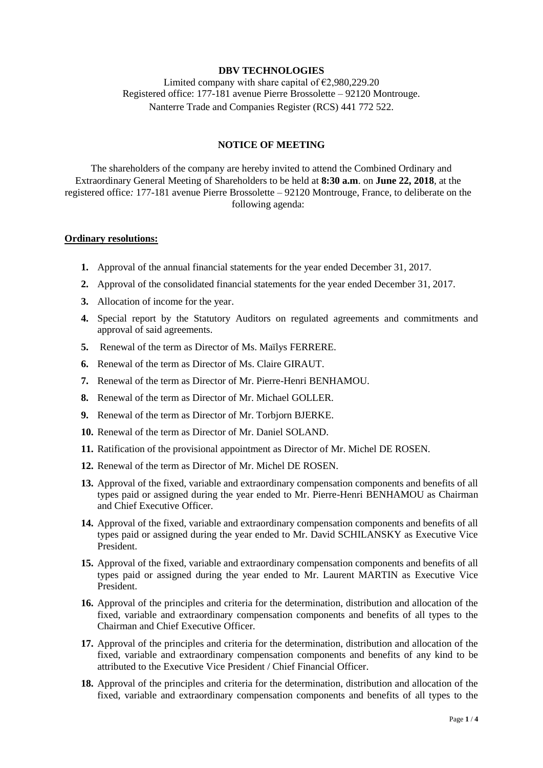## **DBV TECHNOLOGIES**

Limited company with share capital of  $\epsilon$ 2,980,229.20 Registered office: 177-181 avenue Pierre Brossolette – 92120 Montrouge. Nanterre Trade and Companies Register (RCS) 441 772 522.

# **NOTICE OF MEETING**

The shareholders of the company are hereby invited to attend the Combined Ordinary and Extraordinary General Meeting of Shareholders to be held at **8:30 a.m**. on **June 22, 2018**, at the registered office*:* 177-181 avenue Pierre Brossolette – 92120 Montrouge, France, to deliberate on the following agenda:

#### **Ordinary resolutions:**

- **1.** Approval of the annual financial statements for the year ended December 31, 2017.
- **2.** Approval of the consolidated financial statements for the year ended December 31, 2017.
- **3.** Allocation of income for the year.
- **4.** Special report by the Statutory Auditors on regulated agreements and commitments and approval of said agreements.
- **5.** Renewal of the term as Director of Ms. Maïlys FERRERE.
- **6.** Renewal of the term as Director of Ms. Claire GIRAUT.
- **7.** Renewal of the term as Director of Mr. Pierre-Henri BENHAMOU.
- **8.** Renewal of the term as Director of Mr. Michael GOLLER.
- **9.** Renewal of the term as Director of Mr. Torbjorn BJERKE.
- **10.** Renewal of the term as Director of Mr. Daniel SOLAND.
- **11.** Ratification of the provisional appointment as Director of Mr. Michel DE ROSEN.
- **12.** Renewal of the term as Director of Mr. Michel DE ROSEN.
- **13.** Approval of the fixed, variable and extraordinary compensation components and benefits of all types paid or assigned during the year ended to Mr. Pierre-Henri BENHAMOU as Chairman and Chief Executive Officer.
- **14.** Approval of the fixed, variable and extraordinary compensation components and benefits of all types paid or assigned during the year ended to Mr. David SCHILANSKY as Executive Vice President.
- **15.** Approval of the fixed, variable and extraordinary compensation components and benefits of all types paid or assigned during the year ended to Mr. Laurent MARTIN as Executive Vice President.
- **16.** Approval of the principles and criteria for the determination, distribution and allocation of the fixed, variable and extraordinary compensation components and benefits of all types to the Chairman and Chief Executive Officer.
- **17.** Approval of the principles and criteria for the determination, distribution and allocation of the fixed, variable and extraordinary compensation components and benefits of any kind to be attributed to the Executive Vice President / Chief Financial Officer.
- **18.** Approval of the principles and criteria for the determination, distribution and allocation of the fixed, variable and extraordinary compensation components and benefits of all types to the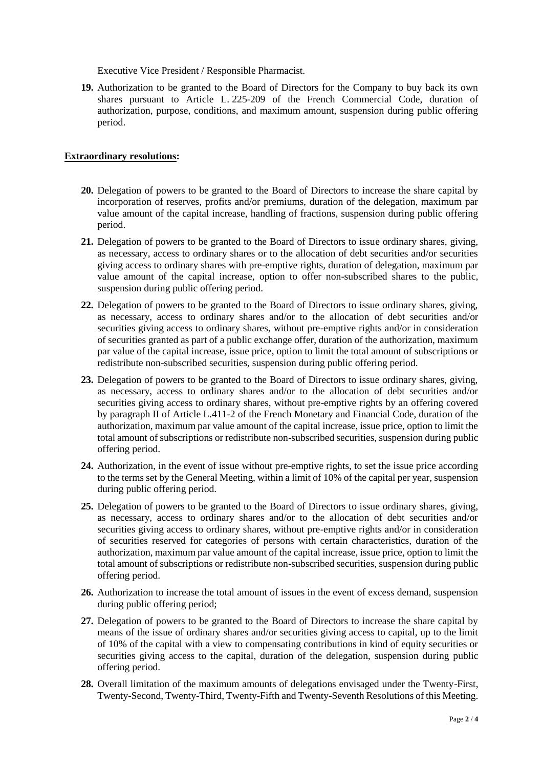Executive Vice President / Responsible Pharmacist.

**19.** Authorization to be granted to the Board of Directors for the Company to buy back its own shares pursuant to Article L. 225-209 of the French Commercial Code, duration of authorization, purpose, conditions, and maximum amount, suspension during public offering period.

## **Extraordinary resolutions:**

- **20.** Delegation of powers to be granted to the Board of Directors to increase the share capital by incorporation of reserves, profits and/or premiums, duration of the delegation, maximum par value amount of the capital increase, handling of fractions, suspension during public offering period.
- **21.** Delegation of powers to be granted to the Board of Directors to issue ordinary shares, giving, as necessary, access to ordinary shares or to the allocation of debt securities and/or securities giving access to ordinary shares with pre-emptive rights, duration of delegation, maximum par value amount of the capital increase, option to offer non-subscribed shares to the public, suspension during public offering period.
- **22.** Delegation of powers to be granted to the Board of Directors to issue ordinary shares, giving, as necessary, access to ordinary shares and/or to the allocation of debt securities and/or securities giving access to ordinary shares, without pre-emptive rights and/or in consideration of securities granted as part of a public exchange offer, duration of the authorization, maximum par value of the capital increase, issue price, option to limit the total amount of subscriptions or redistribute non-subscribed securities, suspension during public offering period.
- **23.** Delegation of powers to be granted to the Board of Directors to issue ordinary shares, giving, as necessary, access to ordinary shares and/or to the allocation of debt securities and/or securities giving access to ordinary shares, without pre-emptive rights by an offering covered by paragraph II of Article L.411-2 of the French Monetary and Financial Code, duration of the authorization, maximum par value amount of the capital increase, issue price, option to limit the total amount of subscriptions or redistribute non-subscribed securities, suspension during public offering period.
- **24.** Authorization, in the event of issue without pre-emptive rights, to set the issue price according to the terms set by the General Meeting, within a limit of 10% of the capital per year, suspension during public offering period.
- **25.** Delegation of powers to be granted to the Board of Directors to issue ordinary shares, giving, as necessary, access to ordinary shares and/or to the allocation of debt securities and/or securities giving access to ordinary shares, without pre-emptive rights and/or in consideration of securities reserved for categories of persons with certain characteristics, duration of the authorization, maximum par value amount of the capital increase, issue price, option to limit the total amount of subscriptions or redistribute non-subscribed securities, suspension during public offering period.
- **26.** Authorization to increase the total amount of issues in the event of excess demand, suspension during public offering period;
- **27.** Delegation of powers to be granted to the Board of Directors to increase the share capital by means of the issue of ordinary shares and/or securities giving access to capital, up to the limit of 10% of the capital with a view to compensating contributions in kind of equity securities or securities giving access to the capital, duration of the delegation, suspension during public offering period.
- **28.** Overall limitation of the maximum amounts of delegations envisaged under the Twenty-First, Twenty-Second, Twenty-Third, Twenty-Fifth and Twenty-Seventh Resolutions of this Meeting.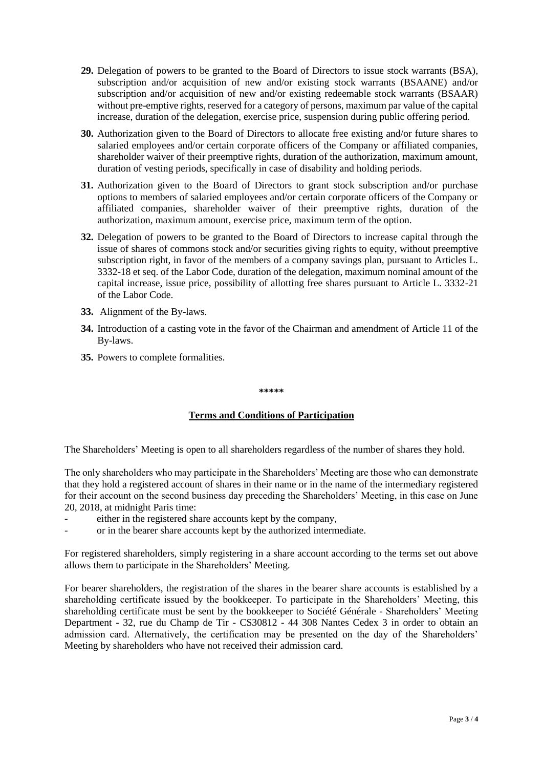- **29.** Delegation of powers to be granted to the Board of Directors to issue stock warrants (BSA), subscription and/or acquisition of new and/or existing stock warrants (BSAANE) and/or subscription and/or acquisition of new and/or existing redeemable stock warrants (BSAAR) without pre-emptive rights, reserved for a category of persons, maximum par value of the capital increase, duration of the delegation, exercise price, suspension during public offering period.
- **30.** Authorization given to the Board of Directors to allocate free existing and/or future shares to salaried employees and/or certain corporate officers of the Company or affiliated companies, shareholder waiver of their preemptive rights, duration of the authorization, maximum amount, duration of vesting periods, specifically in case of disability and holding periods.
- **31.** Authorization given to the Board of Directors to grant stock subscription and/or purchase options to members of salaried employees and/or certain corporate officers of the Company or affiliated companies, shareholder waiver of their preemptive rights, duration of the authorization, maximum amount, exercise price, maximum term of the option.
- **32.** Delegation of powers to be granted to the Board of Directors to increase capital through the issue of shares of commons stock and/or securities giving rights to equity, without preemptive subscription right, in favor of the members of a company savings plan, pursuant to Articles L. 3332-18 et seq. of the Labor Code, duration of the delegation, maximum nominal amount of the capital increase, issue price, possibility of allotting free shares pursuant to Article L. 3332-21 of the Labor Code.
- **33.** Alignment of the By-laws.
- **34.** Introduction of a casting vote in the favor of the Chairman and amendment of Article 11 of the By-laws.
- **35.** Powers to complete formalities.

#### **\*\*\*\*\***

## **Terms and Conditions of Participation**

The Shareholders' Meeting is open to all shareholders regardless of the number of shares they hold.

The only shareholders who may participate in the Shareholders' Meeting are those who can demonstrate that they hold a registered account of shares in their name or in the name of the intermediary registered for their account on the second business day preceding the Shareholders' Meeting, in this case on June 20, 2018, at midnight Paris time:

- either in the registered share accounts kept by the company,
- or in the bearer share accounts kept by the authorized intermediate.

For registered shareholders, simply registering in a share account according to the terms set out above allows them to participate in the Shareholders' Meeting.

For bearer shareholders, the registration of the shares in the bearer share accounts is established by a shareholding certificate issued by the bookkeeper. To participate in the Shareholders' Meeting, this shareholding certificate must be sent by the bookkeeper to Société Générale - Shareholders' Meeting Department - 32, rue du Champ de Tir - CS30812 - 44 308 Nantes Cedex 3 in order to obtain an admission card. Alternatively, the certification may be presented on the day of the Shareholders' Meeting by shareholders who have not received their admission card.